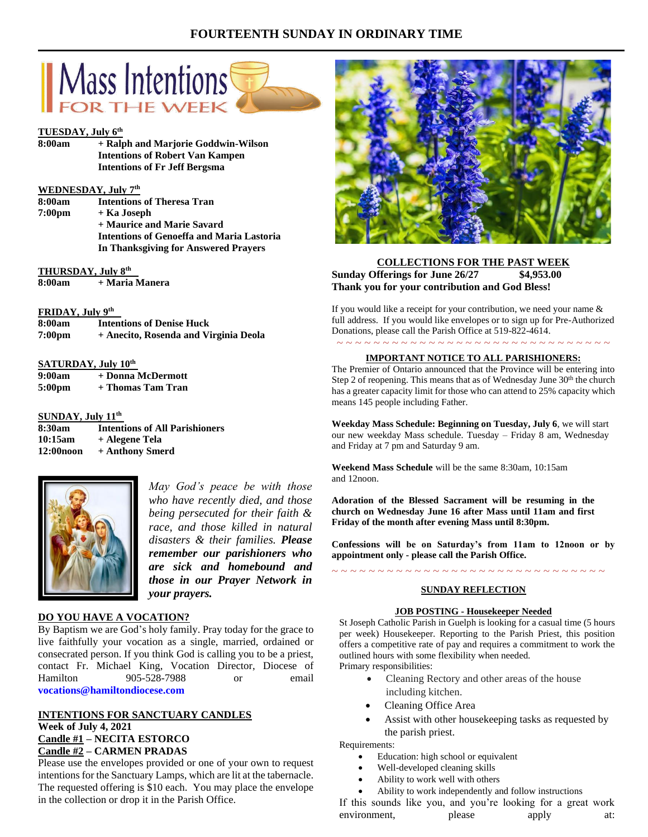## **FOURTEENTH SUNDAY IN ORDINARY TIME**



## **TUESDAY, July 6th**

**8:00am + Ralph and Marjorie Goddwin-Wilson Intentions of Robert Van Kampen Intentions of Fr Jeff Bergsma**

#### **WEDNESDAY, July 7th**

**8:00am Intentions of Theresa Tran 7:00pm + Ka Joseph + Maurice and Marie Savard Intentions of Genoeffa and Maria Lastoria In Thanksgiving for Answered Prayers**

#### **THURSDAY, July 8 th**

**8:00am + Maria Manera**

#### **FRIDAY, July 9 th**

| 8:00am             | <b>Intentions of Denise Huck</b>      |
|--------------------|---------------------------------------|
| 7:00 <sub>pm</sub> | + Anecito, Rosenda and Virginia Deola |

#### **SATURDAY, July 10th**

| 9:00am             | + Donna McDermott |
|--------------------|-------------------|
| 5:00 <sub>pm</sub> | + Thomas Tam Tran |

#### **SUNDAY, July 11th**

| 8:30am       | <b>Intentions of All Parishioners</b> |
|--------------|---------------------------------------|
| 10:15am      | + Alegene Tela                        |
| $12:00$ noon | + Anthony Smerd                       |



*May God's peace be with those who have recently died, and those being persecuted for their faith & race, and those killed in natural disasters & their families. Please remember our parishioners who are sick and homebound and those in our Prayer Network in your prayers.*

## **DO YOU HAVE A VOCATION?**

By Baptism we are God's holy family. Pray today for the grace to live faithfully your vocation as a single, married, ordained or consecrated person. If you think God is calling you to be a priest, contact Fr. Michael King, Vocation Director, Diocese of Hamilton 905-528-7988 or email **vocations@hamiltondiocese.com** 

## **INTENTIONS FOR SANCTUARY CANDLES Week of July 4, 2021 Candle #1 – NECITA ESTORCO Candle #2 – CARMEN PRADAS**

Please use the envelopes provided or one of your own to request intentions for the Sanctuary Lamps, which are lit at the tabernacle. The requested offering is \$10 each. You may place the envelope in the collection or drop it in the Parish Office.



## **COLLECTIONS FOR THE PAST WEEK Sunday Offerings for June 26/27 \$4,953.00 Thank you for your contribution and God Bless!**

If you would like a receipt for your contribution, we need your name & full address. If you would like envelopes or to sign up for Pre-Authorized Donations, please call the Parish Office at 519-822-4614.

## ~ ~ ~ ~ ~ ~ ~ ~ ~ ~ ~ ~ ~ ~ ~ ~ ~ ~ ~ ~ ~ ~ ~ ~ ~ ~ ~ ~ ~ ~ **IMPORTANT NOTICE TO ALL PARISHIONERS:**

The Premier of Ontario announced that the Province will be entering into Step 2 of reopening. This means that as of Wednesday June 30<sup>th</sup> the church has a greater capacity limit for those who can attend to 25% capacity which means 145 people including Father.

**Weekday Mass Schedule: Beginning on Tuesday, July 6**, we will start our new weekday Mass schedule. Tuesday – Friday 8 am, Wednesday and Friday at 7 pm and Saturday 9 am.

**Weekend Mass Schedule** will be the same 8:30am, 10:15am and 12noon.

**Adoration of the Blessed Sacrament will be resuming in the church on Wednesday June 16 after Mass until 11am and first Friday of the month after evening Mass until 8:30pm.**

**Confessions will be on Saturday's from 11am to 12noon or by appointment only - please call the Parish Office.**

# ~ ~ ~ ~ ~ ~ ~ ~ ~ ~ ~ ~ ~ ~ ~ ~ ~ ~ ~ ~ ~ ~ ~ ~ ~ ~ ~ ~ ~ ~ **SUNDAY REFLECTION**

### **JOB POSTING - Housekeeper Needed**

St Joseph Catholic Parish in Guelph is looking for a casual time (5 hours per week) Housekeeper. Reporting to the Parish Priest, this position offers a competitive rate of pay and requires a commitment to work the outlined hours with some flexibility when needed. Primary responsibilities:

- Cleaning Rectory and other areas of the house including kitchen.
- Cleaning Office Area
- Assist with other housekeeping tasks as requested by the parish priest.

Requirements:

- Education: high school or equivalent
- Well-developed cleaning skills
- Ability to work well with others

• Ability to work independently and follow instructions If this sounds like you, and you're looking for a great work environment, please apply at: